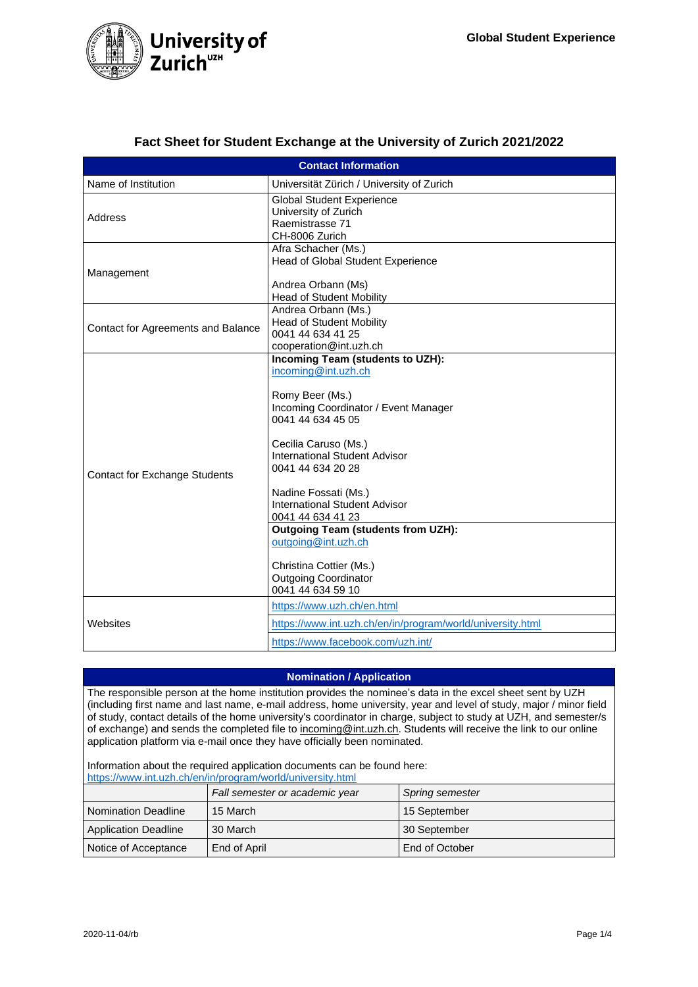

|  | Fact Sheet for Student Exchange at the University of Zurich 2021/2022 |  |  |  |
|--|-----------------------------------------------------------------------|--|--|--|
|--|-----------------------------------------------------------------------|--|--|--|

| <b>Contact Information</b>           |                                                            |  |  |
|--------------------------------------|------------------------------------------------------------|--|--|
| Name of Institution                  | Universität Zürich / University of Zurich                  |  |  |
|                                      | <b>Global Student Experience</b>                           |  |  |
| Address                              | University of Zurich                                       |  |  |
|                                      | Raemistrasse 71                                            |  |  |
|                                      | CH-8006 Zurich                                             |  |  |
|                                      | Afra Schacher (Ms.)                                        |  |  |
|                                      | Head of Global Student Experience                          |  |  |
| Management                           |                                                            |  |  |
|                                      | Andrea Orbann (Ms)                                         |  |  |
|                                      | <b>Head of Student Mobility</b>                            |  |  |
|                                      | Andrea Orbann (Ms.)                                        |  |  |
| Contact for Agreements and Balance   | <b>Head of Student Mobility</b>                            |  |  |
|                                      | 0041 44 634 41 25                                          |  |  |
|                                      | cooperation@int.uzh.ch                                     |  |  |
|                                      | Incoming Team (students to UZH):<br>incoming@int.uzh.ch    |  |  |
|                                      |                                                            |  |  |
|                                      |                                                            |  |  |
|                                      | Romy Beer (Ms.)<br>Incoming Coordinator / Event Manager    |  |  |
|                                      | 0041 44 634 45 05                                          |  |  |
|                                      |                                                            |  |  |
|                                      | Cecilia Caruso (Ms.)                                       |  |  |
|                                      | International Student Advisor                              |  |  |
|                                      | 0041 44 634 20 28                                          |  |  |
| <b>Contact for Exchange Students</b> |                                                            |  |  |
|                                      | Nadine Fossati (Ms.)                                       |  |  |
|                                      | International Student Advisor                              |  |  |
|                                      | 0041 44 634 41 23                                          |  |  |
|                                      | <b>Outgoing Team (students from UZH):</b>                  |  |  |
|                                      | outgoing@int.uzh.ch                                        |  |  |
|                                      |                                                            |  |  |
|                                      | Christina Cottier (Ms.)                                    |  |  |
|                                      | <b>Outgoing Coordinator</b>                                |  |  |
|                                      | 0041 44 634 59 10                                          |  |  |
|                                      | https://www.uzh.ch/en.html                                 |  |  |
| Websites                             | https://www.int.uzh.ch/en/in/program/world/university.html |  |  |
|                                      | https://www.facebook.com/uzh.int/                          |  |  |

## **Nomination / Application**

The responsible person at the home institution provides the nominee's data in the excel sheet sent by UZH (including first name and last name, e-mail address, home university, year and level of study, major / minor field of study, contact details of the home university's coordinator in charge, subject to study at UZH, and semester/s of exchange) and sends the completed file to incoming@int.uzh.ch. Students will receive the link to our online application platform via e-mail once they have officially been nominated.

Information about the required application documents can be found here: <https://www.int.uzh.ch/en/in/program/world/university.html>

| $\mathbf{1}$ . The political contract that it is produced in the contract of the contract of $\mathbf{2}$ |                                |                        |
|-----------------------------------------------------------------------------------------------------------|--------------------------------|------------------------|
|                                                                                                           | Fall semester or academic year | <b>Spring semester</b> |
| <b>Nomination Deadline</b>                                                                                | 15 March                       | 15 September           |
| <b>Application Deadline</b>                                                                               | 30 March                       | 30 September           |
| Notice of Acceptance                                                                                      | End of April                   | End of October         |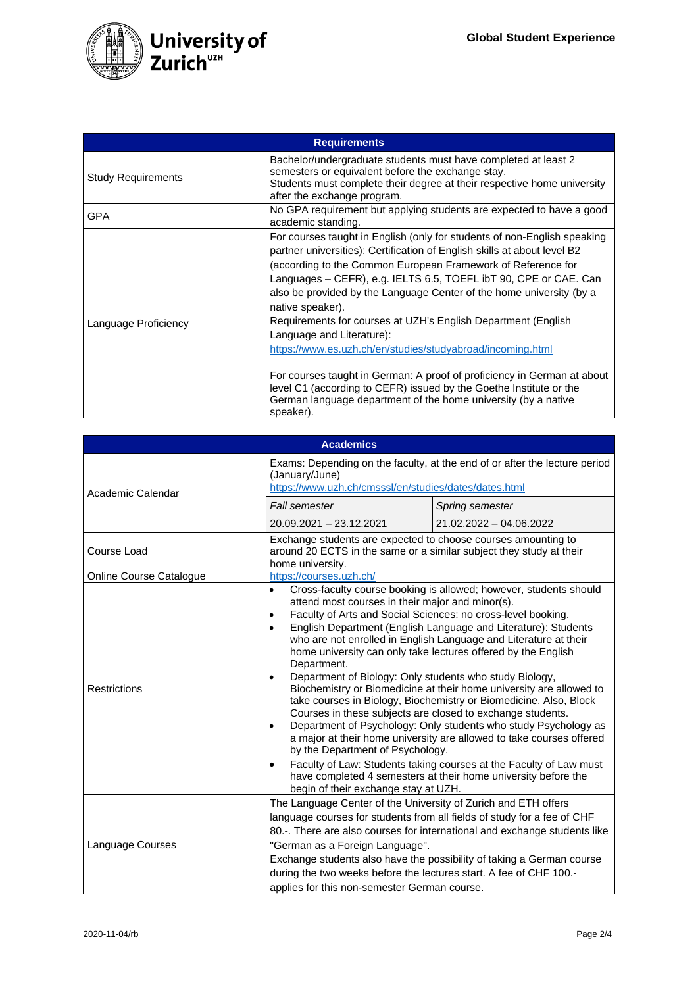

| <b>Requirements</b>       |                                                                                                                                                                                                                                                                                                                                                                                                                                                                                                                                                                                                                                                                                                                                                                                  |  |
|---------------------------|----------------------------------------------------------------------------------------------------------------------------------------------------------------------------------------------------------------------------------------------------------------------------------------------------------------------------------------------------------------------------------------------------------------------------------------------------------------------------------------------------------------------------------------------------------------------------------------------------------------------------------------------------------------------------------------------------------------------------------------------------------------------------------|--|
| <b>Study Requirements</b> | Bachelor/undergraduate students must have completed at least 2<br>semesters or equivalent before the exchange stay.<br>Students must complete their degree at their respective home university<br>after the exchange program.                                                                                                                                                                                                                                                                                                                                                                                                                                                                                                                                                    |  |
| GPA                       | No GPA requirement but applying students are expected to have a good<br>academic standing.                                                                                                                                                                                                                                                                                                                                                                                                                                                                                                                                                                                                                                                                                       |  |
| Language Proficiency      | For courses taught in English (only for students of non-English speaking<br>partner universities): Certification of English skills at about level B2<br>(according to the Common European Framework of Reference for<br>Languages – CEFR), e.g. IELTS 6.5, TOEFL ibT 90, CPE or CAE. Can<br>also be provided by the Language Center of the home university (by a<br>native speaker).<br>Requirements for courses at UZH's English Department (English<br>Language and Literature):<br>https://www.es.uzh.ch/en/studies/studyabroad/incoming.html<br>For courses taught in German: A proof of proficiency in German at about<br>level C1 (according to CEFR) issued by the Goethe Institute or the<br>German language department of the home university (by a native<br>speaker). |  |

| <b>Academics</b>        |                                                                                                                                                                                                                                                                                                                                                                                                                                                                                                                                                                                                                                                                                                                                                                                                                                                                                                                                                                                                                                                                                                                               |                           |  |
|-------------------------|-------------------------------------------------------------------------------------------------------------------------------------------------------------------------------------------------------------------------------------------------------------------------------------------------------------------------------------------------------------------------------------------------------------------------------------------------------------------------------------------------------------------------------------------------------------------------------------------------------------------------------------------------------------------------------------------------------------------------------------------------------------------------------------------------------------------------------------------------------------------------------------------------------------------------------------------------------------------------------------------------------------------------------------------------------------------------------------------------------------------------------|---------------------------|--|
| Academic Calendar       | Exams: Depending on the faculty, at the end of or after the lecture period<br>(January/June)<br>https://www.uzh.ch/cmsssl/en/studies/dates/dates.html                                                                                                                                                                                                                                                                                                                                                                                                                                                                                                                                                                                                                                                                                                                                                                                                                                                                                                                                                                         |                           |  |
|                         | Fall semester                                                                                                                                                                                                                                                                                                                                                                                                                                                                                                                                                                                                                                                                                                                                                                                                                                                                                                                                                                                                                                                                                                                 | Spring semester           |  |
|                         | $20.09.2021 - 23.12.2021$                                                                                                                                                                                                                                                                                                                                                                                                                                                                                                                                                                                                                                                                                                                                                                                                                                                                                                                                                                                                                                                                                                     | $21.02.2022 - 04.06.2022$ |  |
| Course Load             | Exchange students are expected to choose courses amounting to<br>around 20 ECTS in the same or a similar subject they study at their<br>home university.                                                                                                                                                                                                                                                                                                                                                                                                                                                                                                                                                                                                                                                                                                                                                                                                                                                                                                                                                                      |                           |  |
| Online Course Catalogue | https://courses.uzh.ch/                                                                                                                                                                                                                                                                                                                                                                                                                                                                                                                                                                                                                                                                                                                                                                                                                                                                                                                                                                                                                                                                                                       |                           |  |
| Restrictions            | Cross-faculty course booking is allowed; however, students should<br>$\bullet$<br>attend most courses in their major and minor(s).<br>Faculty of Arts and Social Sciences: no cross-level booking.<br>$\bullet$<br>English Department (English Language and Literature): Students<br>$\bullet$<br>who are not enrolled in English Language and Literature at their<br>home university can only take lectures offered by the English<br>Department.<br>Department of Biology: Only students who study Biology,<br>$\bullet$<br>Biochemistry or Biomedicine at their home university are allowed to<br>take courses in Biology, Biochemistry or Biomedicine. Also, Block<br>Courses in these subjects are closed to exchange students.<br>Department of Psychology: Only students who study Psychology as<br>$\bullet$<br>a major at their home university are allowed to take courses offered<br>by the Department of Psychology.<br>Faculty of Law: Students taking courses at the Faculty of Law must<br>$\bullet$<br>have completed 4 semesters at their home university before the<br>begin of their exchange stay at UZH. |                           |  |
| Language Courses        | The Language Center of the University of Zurich and ETH offers<br>language courses for students from all fields of study for a fee of CHF<br>80.-. There are also courses for international and exchange students like<br>"German as a Foreign Language".<br>Exchange students also have the possibility of taking a German course<br>during the two weeks before the lectures start. A fee of CHF 100.-<br>applies for this non-semester German course.                                                                                                                                                                                                                                                                                                                                                                                                                                                                                                                                                                                                                                                                      |                           |  |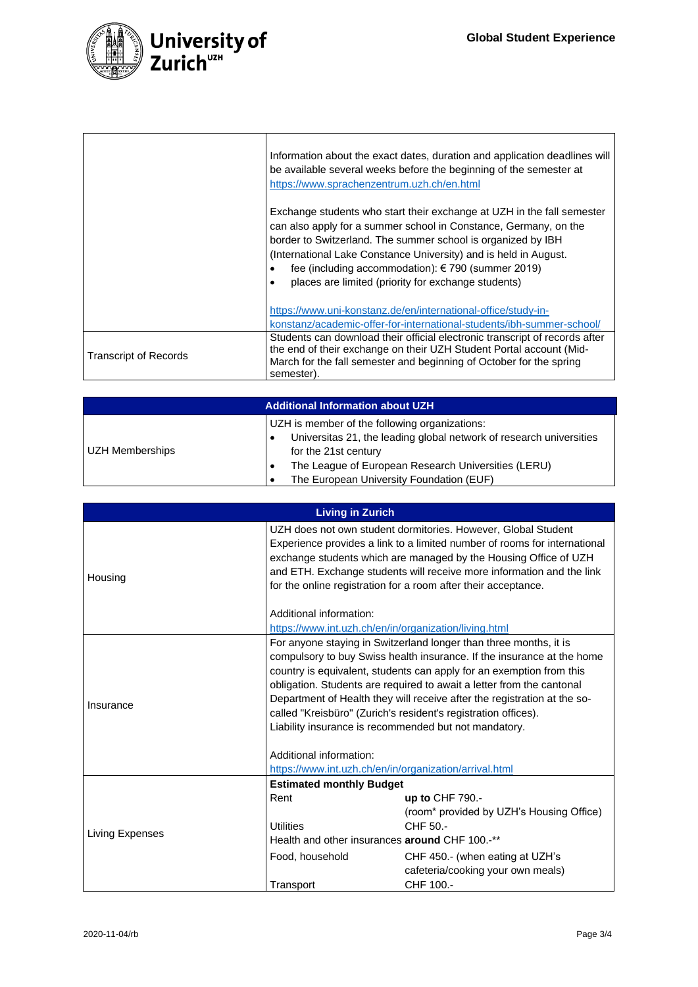

|                       | Information about the exact dates, duration and application deadlines will<br>be available several weeks before the beginning of the semester at<br>https://www.sprachenzentrum.uzh.ch/en.html                                                                                                                                                                                             |
|-----------------------|--------------------------------------------------------------------------------------------------------------------------------------------------------------------------------------------------------------------------------------------------------------------------------------------------------------------------------------------------------------------------------------------|
|                       | Exchange students who start their exchange at UZH in the fall semester<br>can also apply for a summer school in Constance, Germany, on the<br>border to Switzerland. The summer school is organized by IBH<br>(International Lake Constance University) and is held in August.<br>fee (including accommodation): €790 (summer 2019)<br>places are limited (priority for exchange students) |
|                       | https://www.uni-konstanz.de/en/international-office/study-in-<br>konstanz/academic-offer-for-international-students/ibh-summer-school/                                                                                                                                                                                                                                                     |
| Transcript of Records | Students can download their official electronic transcript of records after<br>the end of their exchange on their UZH Student Portal account (Mid-<br>March for the fall semester and beginning of October for the spring<br>semester)                                                                                                                                                     |

| <b>Additional Information about UZH</b> |                                                                     |  |
|-----------------------------------------|---------------------------------------------------------------------|--|
|                                         | UZH is member of the following organizations:                       |  |
|                                         | Universitas 21, the leading global network of research universities |  |
| UZH Memberships                         | for the 21st century                                                |  |
|                                         | The League of European Research Universities (LERU)                 |  |
|                                         | The European University Foundation (EUF)                            |  |

| <b>Living in Zurich</b> |                                                                                                                                                                                                                                                                                                                                                                                                                                                                                                                                                                                          |                                                                                   |  |
|-------------------------|------------------------------------------------------------------------------------------------------------------------------------------------------------------------------------------------------------------------------------------------------------------------------------------------------------------------------------------------------------------------------------------------------------------------------------------------------------------------------------------------------------------------------------------------------------------------------------------|-----------------------------------------------------------------------------------|--|
| Housing                 | UZH does not own student dormitories. However, Global Student<br>Experience provides a link to a limited number of rooms for international<br>exchange students which are managed by the Housing Office of UZH<br>and ETH. Exchange students will receive more information and the link<br>for the online registration for a room after their acceptance.                                                                                                                                                                                                                                |                                                                                   |  |
|                         | Additional information:                                                                                                                                                                                                                                                                                                                                                                                                                                                                                                                                                                  |                                                                                   |  |
|                         | https://www.int.uzh.ch/en/in/organization/living.html                                                                                                                                                                                                                                                                                                                                                                                                                                                                                                                                    |                                                                                   |  |
| Insurance               | For anyone staying in Switzerland longer than three months, it is<br>compulsory to buy Swiss health insurance. If the insurance at the home<br>country is equivalent, students can apply for an exemption from this<br>obligation. Students are required to await a letter from the cantonal<br>Department of Health they will receive after the registration at the so-<br>called "Kreisbüro" (Zurich's resident's registration offices).<br>Liability insurance is recommended but not mandatory.<br>Additional information:<br>https://www.int.uzh.ch/en/in/organization/arrival.html |                                                                                   |  |
|                         | <b>Estimated monthly Budget</b>                                                                                                                                                                                                                                                                                                                                                                                                                                                                                                                                                          |                                                                                   |  |
| Living Expenses         | Rent<br><b>Utilities</b><br>Health and other insurances around CHF 100.-**                                                                                                                                                                                                                                                                                                                                                                                                                                                                                                               | up to CHF 790.-<br>(room* provided by UZH's Housing Office)<br>CHF 50.-           |  |
|                         | Food, household<br>Transport                                                                                                                                                                                                                                                                                                                                                                                                                                                                                                                                                             | CHF 450.- (when eating at UZH's<br>cafeteria/cooking your own meals)<br>CHF 100.- |  |